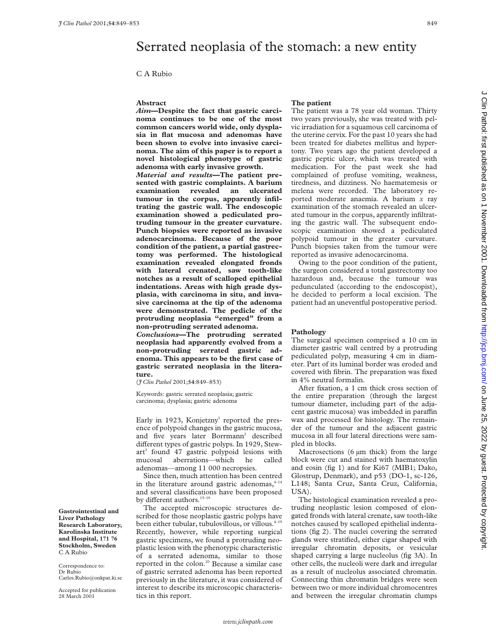# Serrated neoplasia of the stomach: a new entity

## **Abstract**

*Aim***—Despite the fact that gastric carcinoma continues to be one of the most common cancers world wide, only dysplasia in flat mucosa and adenomas have been shown to evolve into invasive carcinoma. The aim of this paper is to report a novel histological phenotype of gastric adenoma with early invasive growth.**

*Material and results—***The patient presented with gastric complaints. A barium examination revealed an ulcerated tumour in the corpus, apparently infiltrating the gastric wall. The endoscopic examination showed a pediculated protruding tumour in the greater curvature. Punch biopsies were reported as invasive adenocarcinoma. Because of the poor condition of the patient, a partial gastrectomy was performed. The histological examination revealed elongated fronds with lateral crenated, saw tooth-like notches as a result of scalloped epithelial indentations. Areas with high grade dysplasia, with carcinoma in situ, and invasive carcinoma at the tip of the adenoma were demonstrated. The pedicle of the protruding neoplasia "emerged" from a non-protruding serrated adenoma.** *Conclusions***—The protruding serrated neoplasia had apparently evolved from a non-protruding serrated gastric adenoma. This appears to be the first case of gastric serrated neoplasia in the literature.**

(*J Clin Pathol* 2001;**54**:849–853)

Keywords: gastric serrated neoplasia; gastric carcinoma; dysplasia; gastric adenoma

Early in 1923, Konjetzny<sup>1</sup> reported the presence of polypoid changes in the gastric mucosa, and five years later Borrmann<sup>2</sup> described different types of gastric polyps. In 1929, Stewart<sup>3</sup> found 47 gastric polypoid lesions with mucosal aberrations—which he called adenomas—among 11 000 necropsies.

Since then, much attention has been centred in the literature around gastric adenomas, $4^{-14}$ and several classifications have been proposed by different authors.  $^{\rm 15-19}$ 

The accepted microscopic structures described for those neoplastic gastric polyps have been either tubular, tubulovillous, or villous. $4-19$ Recently, however, while reporting surgical gastric specimens, we found a protruding neoplastic lesion with the phenotypic characteristic of a serrated adenoma, similar to those reported in the colon.<sup>20</sup> Because a similar case of gastric serrated adenoma has been reported previously in the literature, it was considered of interest to describe its microscopic characteristics in this report.

### **The patient**

The patient was a 78 year old woman. Thirty two years previously, she was treated with pelvic irradiation for a squamous cell carcinoma of the uterine cervix. For the past 10 years she had been treated for diabetes mellitus and hypertony. Two years ago the patient developed a gastric peptic ulcer, which was treated with medication. For the past week she had complained of profuse vomiting, weakness, tiredness, and dizziness. No haematemesis or melena were recorded. The laboratory reported moderate anaemia. A barium *x* ray examination of the stomach revealed an ulcerated tumour in the corpus, apparently infiltrating the gastric wall. The subsequent endoscopic examination showed a pediculated polypoid tumour in the greater curvature. Punch biopsies taken from the tumour were reported as invasive adenocarcinoma.

Owing to the poor condition of the patient, the surgeon considered a total gastrectomy too hazardous and, because the tumour was pedunculated (according to the endoscopist), he decided to perform a local excision. The patient had an uneventful postoperative period.

#### **Pathology**

The surgical specimen comprised a 10 cm in diameter gastric wall centred by a protruding pediculated polyp, measuring 4 cm in diameter. Part of its luminal border was eroded and covered with fibrin. The preparation was fixed in 4% neutral formalin.

After fixation, a 1 cm thick cross section of the entire preparation (through the largest tumour diameter, including part of the adjacent gastric mucosa) was imbedded in paraffin wax and processed for histology. The remainder of the tumour and the adjacent gastric mucosa in all four lateral directions were sampled in blocks.

Macrosections  $(6 \mu m)$  thick) from the large block were cut and stained with haematoxylin and eosin (fig 1) and for Ki67 (MIB1; Dako, Glostrup, Denmark), and p53 (DO-1, sc-126, L148; Santa Cruz, Santa Cruz, California, USA).

The histological examination revealed a protruding neoplastic lesion composed of elongated fronds with lateral crenate, saw tooth-like notches caused by scalloped epithelial indentations (fig 2). The nuclei covering the serrated glands were stratified, either cigar shaped with irregular chromatin deposits, or vesicular shaped carrying a large nucleolus (fig 3A). In other cells, the nucleoli were dark and irregular as a result of nucleolus associated chromatin. Connecting thin chromatin bridges were seen between two or more individual chromocentres and between the irregular chromatin clumps

**Gastrointestinal and Liver Pathology Research Laboratory, Karolinska Institute and Hospital, 171 76 Stockholm, Sweden** C A Rubio

Correspondence to: Dr Rubio Carlos.Rubio@onkpat.ki.se

Accepted for publication 28 March 2001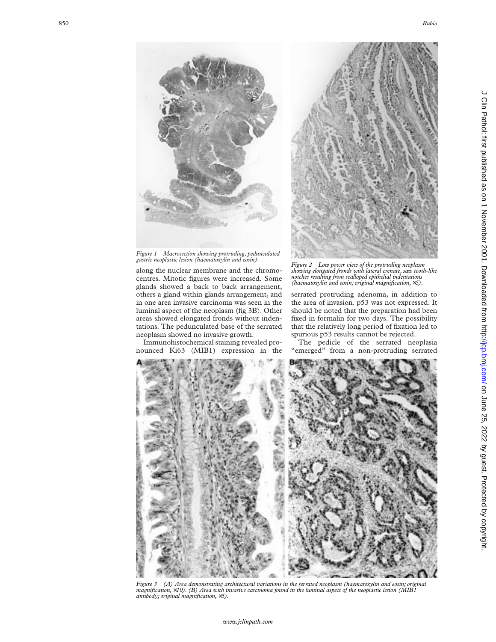

*Figure 1 Macrosection showing protruding, pedunculated gastric neoplastic lesion (haematoxylin and eosin).*

along the nuclear membrane and the chromocentres. Mitotic figures were increased. Some glands showed a back to back arrangement, others a gland within glands arrangement, and in one area invasive carcinoma was seen in the luminal aspect of the neoplasm (fig 3B). Other areas showed elongated fronds without indentations. The pedunculated base of the serrated neoplasm showed no invasive growth.

Immunohistochemical staining revealed pronounced Ki63 (MIB1) expression in the



*Figure 2 Low power view of the protruding neoplasm showing elongated fronds with lateral crenate, saw tooth-like notches resulting from scalloped epithelial indentations (haematoxylin and eosin; original magnification,* ×*5).*

serrated protruding adenoma, in addition to the area of invasion. p53 was not expressed. It should be noted that the preparation had been fixed in formalin for two days. The possibility that the relatively long period of fixation led to spurious p53 results cannot be rejected.

The pedicle of the serrated neoplasia "emerged" from a non-protruding serrated



*Figure 3 (A) Area demonstrating architectural variations in the serrated neoplasm (haematoxylin and eosin; original magnification,* ×*10). (B) Area with invasive carcinoma found in the luminal aspect of the neoplastic lesion (MIB1 antibody; original magnification,* ×*5).*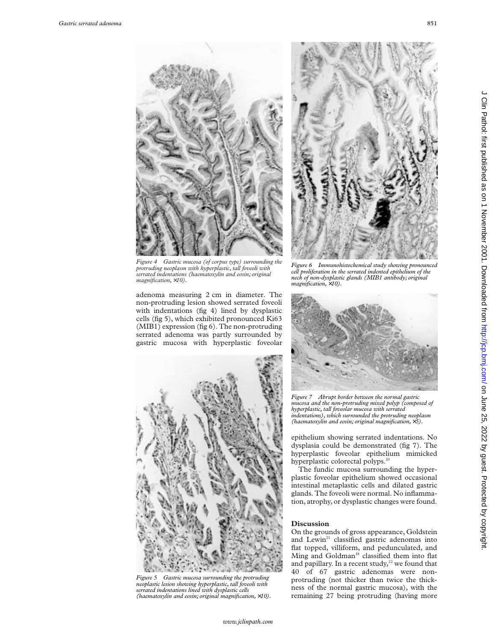

*Figure 4 Gastric mucosa (of corpus type) surrounding the protruding neoplasm with hyperplastic, tall foveoli with serrated indentations (haematoxylin and eosin; original magnification,* ×*10).*

adenoma measuring 2 cm in diameter. The non-protruding lesion showed serrated foveoli with indentations (fig 4) lined by dysplastic cells (fig 5), which exhibited pronounced Ki63 (MIB1) expression (fig 6). The non-protruding serrated adenoma was partly surrounded by gastric mucosa with hyperplastic foveolar



*Figure 5 Gastric mucosa surrounding the protruding neoplastic lesion showing hyperplastic, tall foveoli with serrated indentations lined with dysplastic cells (haematoxylin and eosin; original magnification,* ×*10).*



*Figure 6 Immunohistochemical study showing pronounced cell proliferation in the serrated indented epithelium of the neck of non-dysplastic glands (MIB1 antibody; original magnification,* ×*10).*



*Figure 7 Abrupt border between the normal gastric mucosa and the non-protruding mixed polyp (composed of hyperplastic, tall foveolar mucosa with serrated indentations), which surrounded the protruding neoplasm (haematoxylin and eosin; original magnification,* ×*5).*

epithelium showing serrated indentations. No dysplasia could be demonstrated (fig 7). The hyperplastic foveolar epithelium mimicked hyperplastic colorectal polyps.<sup>20</sup>

The fundic mucosa surrounding the hyperplastic foveolar epithelium showed occasional intestinal metaplastic cells and dilated gastric glands. The foveoli were normal. No inflammation, atrophy, or dysplastic changes were found.

# **Discussion**

On the grounds of gross appearance, Goldstein and Lewin<sup>21</sup> classified gastric adenomas into flat topped, villiform, and pedunculated, and Ming and Goldman<sup>18</sup> classified them into flat and papillary. In a recent study, $22$  we found that 40 of 67 gastric adenomas were nonprotruding (not thicker than twice the thickness of the normal gastric mucosa), with the remaining 27 being protruding (having more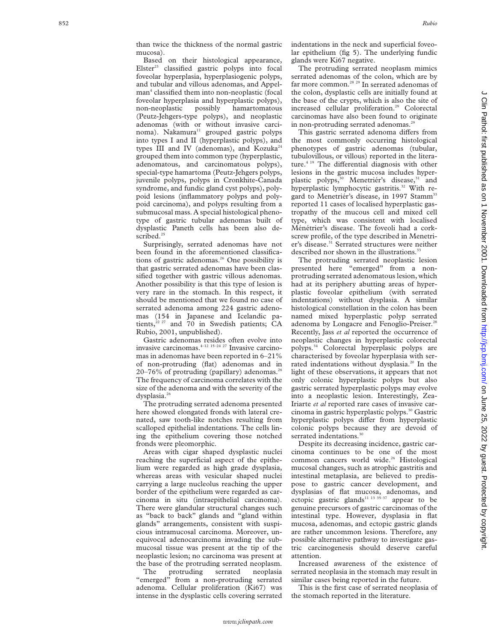mucosa). Based on their histological appearance, Elster<sup>23</sup> classified gastric polyps into focal foveolar hyperplasia, hyperplasiogenic polyps, and tubular and villous adenomas, and Appelman<sup>4</sup> classified them into non-neoplastic (focal foveolar hyperplasia and hyperplastic polyps), non-neoplastic possibly hamartomatous (Peutz-Jehgers-type polyps), and neoplastic adenomas (with or without invasive carci $n$ noma). Nakamura<sup>11</sup> grouped gastric polyps into types I and II (hyperplastic polyps), and types III and IV (adenomas), and Kozuka<sup>24</sup> grouped them into common type (hyperplastic, adenomatous, and carcinomatous polyps), special-type hamartoma (Peutz-Jehgers polyps, juvenile polyps, polyps in Cronkhite-Canada syndrome, and fundic gland cyst polyps), polypoid lesions (inflammatory polyps and polypoid carcinoma), and polyps resulting from a submucosal mass. A special histological phenotype of gastric tubular adenomas built of dysplastic Paneth cells has been also described.<sup>25</sup>

Surprisingly, serrated adenomas have not been found in the aforementioned classifications of gastric adenomas.<sup>26</sup> One possibility is that gastric serrated adenomas have been classified together with gastric villous adenomas. Another possibility is that this type of lesion is very rare in the stomach. In this respect, it should be mentioned that we found no case of serrated adenoma among 224 gastric adenomas (154 in Japanese and Icelandic patients,<sup>22 27</sup> and 70 in Swedish patients; CA Rubio, 2001, unpublished).

Gastric adenomas resides often evolve into invasive carcinomas.4–12 15–24 27 Invasive carcinomas in adenomas have been reported in 6–21% of non-protruding (flat) adenomas and in  $20-76\%$  of protruding (papillary) adenomas.<sup>26</sup> The frequency of carcinoma correlates with the size of the adenoma and with the severity of the dysplasia.<sup>26</sup>

The protruding serrated adenoma presented here showed elongated fronds with lateral crenated, saw tooth-like notches resulting from scalloped epithelial indentations. The cells lining the epithelium covering those notched fronds were pleomorphic.

Areas with cigar shaped dysplastic nuclei reaching the superficial aspect of the epithelium were regarded as high grade dysplasia, whereas areas with vesicular shaped nuclei carrying a large nucleolus reaching the upper border of the epithelium were regarded as carcinoma in situ (intraepithelial carcinoma). There were glandular structural changes such as "back to back" glands and "gland within glands" arrangements, consistent with suspicious intramucosal carcinoma. Moreover, unequivocal adenocarcinoma invading the submucosal tissue was present at the tip of the neoplastic lesion; no carcinoma was present at the base of the protruding serrated neoplasm.

The protruding serrated neoplasia "emerged" from a non-protruding serrated adenoma. Cellular proliferation (Ki67) was intense in the dysplastic cells covering serrated indentations in the neck and superficial foveolar epithelium (fig 5). The underlying fundic glands were Ki67 negative.

The protruding serrated neoplasm mimics serrated adenomas of the colon, which are by far more common.<sup>28</sup> <sup>29</sup> In serrated adenomas of the colon, dysplastic cells are initially found at the base of the crypts, which is also the site of increased cellular proliferation.<sup>29</sup> Colorectal carcinomas have also been found to originate in non-protruding serrated adenomas.<sup>29</sup>

This gastric serrated adenoma differs from the most commonly occurring histological phenotypes of gastric adenomas (tubular, tubulovillous, or villous) reported in the literature.<sup>4 19</sup> The differential diagnosis with other lesions in the gastric mucosa includes hyperplastic polyps,<sup>30</sup> Menetriér's disease,<sup>31</sup> and hyperplastic lymphocytic gastritis.<sup>32</sup> With regard to Menetriér's disease, in 1997 Stamm<sup>33</sup> reported 11 cases of localised hyperplastic gastropathy of the mucous cell and mixed cell type, which was consistent with localised Ménétrier's disease. The foveoli had a corkscrew profile, of the type described in Menetrier's disease.<sup>31</sup> Serrated structures were neither described nor shown in the illustrations.<sup>33</sup>

The protruding serrated neoplastic lesion presented here "emerged" from a nonprotruding serrated adenomatous lesion, which had at its periphery abutting areas of hyperplastic foveolar epithelium (with serrated indentations) without dysplasia. A similar histological constellation in the colon has been named mixed hyperplastic polyp serrated adenoma by Longacre and Fenoglio-Preiser.<sup>28</sup> Recently, Jass *et al* reported the occurrence of neoplastic changes in hyperplastic colorectal polyps.34 Colorectal hyperplasic polyps are characterised by foveolar hyperplasia with serrated indentations without dysplasia.<sup>20</sup> In the light of these observations, it appears that not only colonic hyperplastic polyps but also gastric serrated hyperplastic polyps may evolve into a neoplastic lesion. Interestingly, Zea-Iriarte *et al* reported rare cases of invasive carcinoma in gastric hyperplastic polyps.30 Gastric hyperplastic polyps differ from hyperplastic colonic polyps because they are devoid of serrated indentations.<sup>30</sup>

Despite its decreasing incidence, gastric carcinoma continues to be one of the most common cancers world wide.<sup>26</sup> Histological mucosal changes, such as atrophic gastritis and intestinal metaplasia, are believed to predispose to gastric cancer development, and dysplasias of flat mucosa, adenomas, and ectopic gastric glands<sup>11 13 35–37</sup> appear to be genuine precursors of gastric carcinomas of the intestinal type. However, dysplasia in flat mucosa, adenomas, and ectopic gastric glands are rather uncommon lesions. Therefore, any possible alternative pathway to investigate gastric carcinogenesis should deserve careful attention.

Increased awareness of the existence of serrated neoplasia in the stomach may result in similar cases being reported in the future.

This is the first case of serrated neoplasia of the stomach reported in the literature.